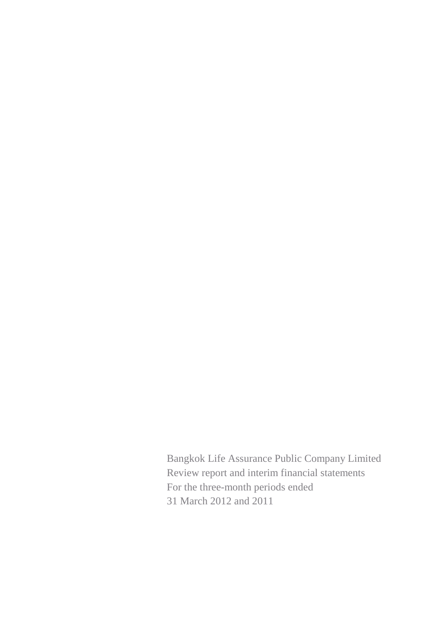Bangkok Life Assurance Public Company Limited Review report and interim financial statements For the three-month periods ended 31 March 2012 and 2011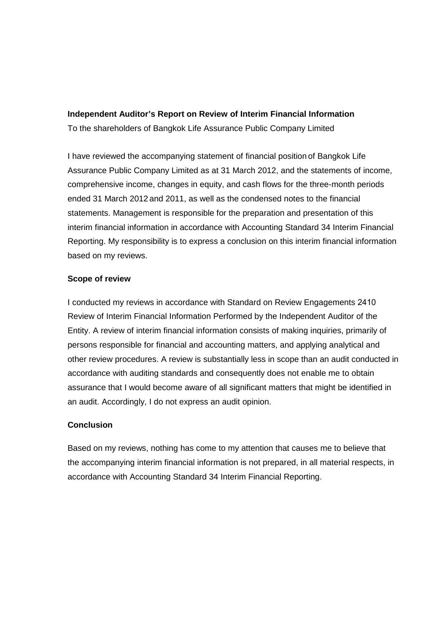# **Independent Auditor's Report on Review of Interim Financial Information**

To the shareholders of Bangkok Life Assurance Public Company Limited

I have reviewed the accompanying statement of financial position of Bangkok Life Assurance Public Company Limited as at 31 March 2012, and the statements of income, comprehensive income, changes in equity, and cash flows for the three-month periods ended 31 March 2012 and 2011, as well as the condensed notes to the financial statements. Management is responsible for the preparation and presentation of this interim financial information in accordance with Accounting Standard 34 Interim Financial Reporting. My responsibility is to express a conclusion on this interim financial information based on my reviews.

# **Scope of review**

I conducted my reviews in accordance with Standard on Review Engagements 2410 Review of Interim Financial Information Performed by the Independent Auditor of the Entity. A review of interim financial information consists of making inquiries, primarily of persons responsible for financial and accounting matters, and applying analytical and other review procedures. A review is substantially less in scope than an audit conducted in accordance with auditing standards and consequently does not enable me to obtain assurance that I would become aware of all significant matters that might be identified in an audit. Accordingly, I do not express an audit opinion.

# **Conclusion**

Based on my reviews, nothing has come to my attention that causes me to believe that the accompanying interim financial information is not prepared, in all material respects, in accordance with Accounting Standard 34 Interim Financial Reporting.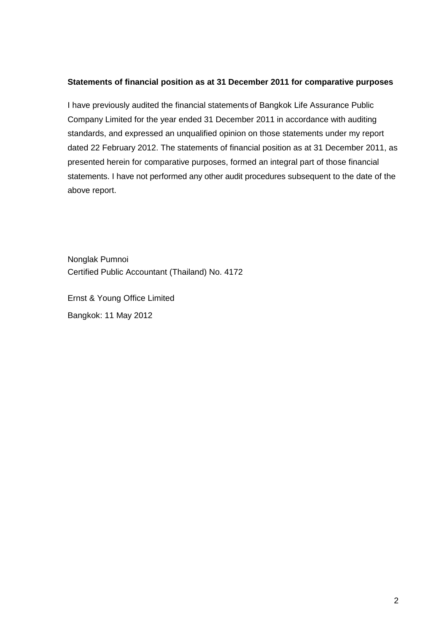#### **Statements of financial position as at 31 December 2011 for comparative purposes**

I have previously audited the financial statements of Bangkok Life Assurance Public Company Limited for the year ended 31 December 2011 in accordance with auditing standards, and expressed an unqualified opinion on those statements under my report dated 22 February 2012. The statements of financial position as at 31 December 2011, as presented herein for comparative purposes, formed an integral part of those financial statements. I have not performed any other audit procedures subsequent to the date of the above report.

Nonglak Pumnoi Certified Public Accountant (Thailand) No. 4172

Ernst & Young Office Limited Bangkok: 11 May 2012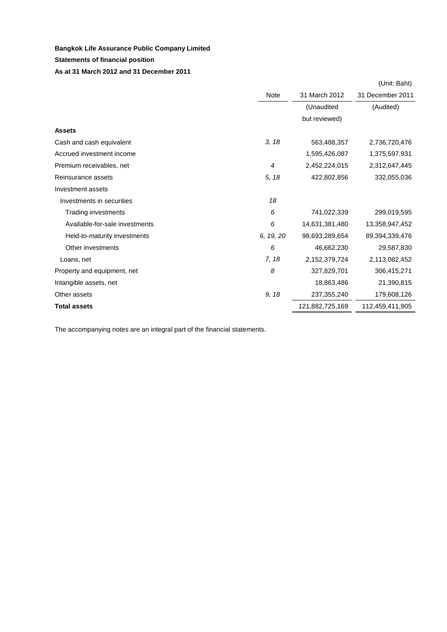#### **Statements of financial position**

#### **As at 31 March 2012 and 31 December 2011**

|                                |                |                 | (Unit: Baht)     |
|--------------------------------|----------------|-----------------|------------------|
|                                | Note           | 31 March 2012   | 31 December 2011 |
|                                |                | (Unaudited      | (Audited)        |
|                                |                | but reviewed)   |                  |
| <b>Assets</b>                  |                |                 |                  |
| Cash and cash equivalent       | 3, 18          | 563,488,357     | 2,736,720,476    |
| Accrued investment income      |                | 1,595,426,087   | 1,375,597,931    |
| Premium receivables, net       | $\overline{4}$ | 2,452,224,015   | 2,312,647,445    |
| Reinsurance assets             | 5, 18          | 422,802,856     | 332,055,036      |
| Investment assets              |                |                 |                  |
| Investments in securities      | 18             |                 |                  |
| Trading investments            | 6              | 741,022,339     | 299,019,595      |
| Available-for-sale investments | 6              | 14,631,381,480  | 13,358,947,452   |
| Held-to-maturity investments   | 6, 19, 20      | 98,693,289,654  | 89,394,339,476   |
| Other investments              | 6              | 46,662,230      | 29,587,830       |
| Loans, net                     | 7, 18          | 2,152,379,724   | 2,113,082,452    |
| Property and equipment, net    | 8              | 327,829,701     | 306,415,271      |
| Intangible assets, net         |                | 18,863,486      | 21,390,815       |
| Other assets                   | 9, 18          | 237,355,240     | 179,608,126      |
| <b>Total assets</b>            |                | 121,882,725,169 | 112,459,411,905  |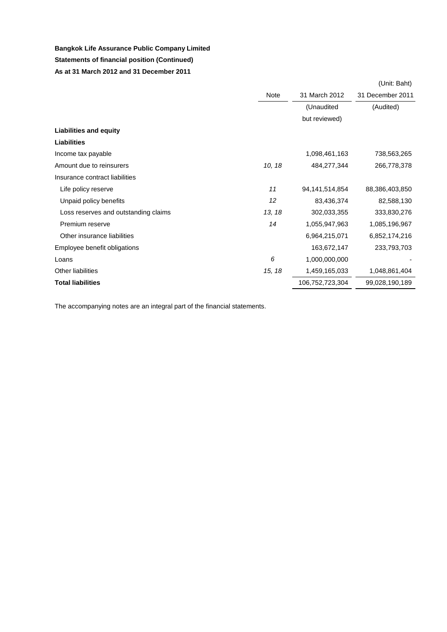### **Statements of financial position (Continued) As at 31 March 2012 and 31 December 2011**

|                                      |        |                 | (Unit: Baht)     |
|--------------------------------------|--------|-----------------|------------------|
|                                      | Note   | 31 March 2012   | 31 December 2011 |
|                                      |        | (Unaudited      | (Audited)        |
|                                      |        | but reviewed)   |                  |
| <b>Liabilities and equity</b>        |        |                 |                  |
| <b>Liabilities</b>                   |        |                 |                  |
| Income tax payable                   |        | 1,098,461,163   | 738,563,265      |
| Amount due to reinsurers             | 10, 18 | 484,277,344     | 266,778,378      |
| Insurance contract liabilities       |        |                 |                  |
| Life policy reserve                  | 11     | 94,141,514,854  | 88,386,403,850   |
| Unpaid policy benefits               | 12     | 83,436,374      | 82,588,130       |
| Loss reserves and outstanding claims | 13, 18 | 302,033,355     | 333,830,276      |
| Premium reserve                      | 14     | 1,055,947,963   | 1,085,196,967    |
| Other insurance liabilities          |        | 6,964,215,071   | 6,852,174,216    |
| Employee benefit obligations         |        | 163,672,147     | 233,793,703      |
| Loans                                | 6      | 1,000,000,000   |                  |
| <b>Other liabilities</b>             | 15, 18 | 1,459,165,033   | 1,048,861,404    |
| <b>Total liabilities</b>             |        | 106,752,723,304 | 99,028,190,189   |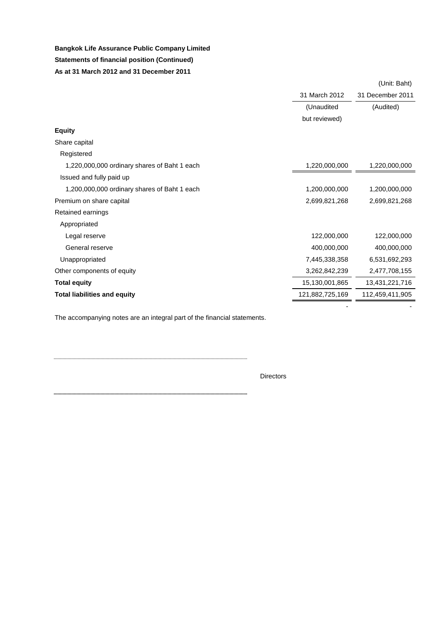# **Bangkok Life Assurance Public Company Limited Statements of financial position (Continued) As at 31 March 2012 and 31 December 2011**

|                                              |                 | (Unit: Baht)     |
|----------------------------------------------|-----------------|------------------|
|                                              | 31 March 2012   | 31 December 2011 |
|                                              | (Unaudited      | (Audited)        |
|                                              | but reviewed)   |                  |
| <b>Equity</b>                                |                 |                  |
| Share capital                                |                 |                  |
| Registered                                   |                 |                  |
| 1,220,000,000 ordinary shares of Baht 1 each | 1,220,000,000   | 1,220,000,000    |
| Issued and fully paid up                     |                 |                  |
| 1,200,000,000 ordinary shares of Baht 1 each | 1,200,000,000   | 1,200,000,000    |
| Premium on share capital                     | 2,699,821,268   | 2,699,821,268    |
| Retained earnings                            |                 |                  |
| Appropriated                                 |                 |                  |
| Legal reserve                                | 122,000,000     | 122,000,000      |
| General reserve                              | 400,000,000     | 400,000,000      |
| Unappropriated                               | 7,445,338,358   | 6,531,692,293    |
| Other components of equity                   | 3,262,842,239   | 2,477,708,155    |
| <b>Total equity</b>                          | 15,130,001,865  | 13,431,221,716   |
| <b>Total liabilities and equity</b>          | 121,882,725,169 | 112,459,411,905  |
|                                              |                 |                  |

The accompanying notes are an integral part of the financial statements.

Directors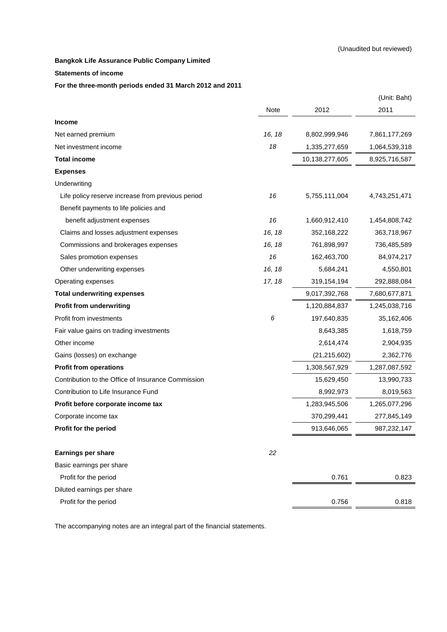#### **Statements of income**

#### **For the three-month periods ended 31 March 2012 and 2011**

|                                                    |        |                | (Unit: Baht)  |
|----------------------------------------------------|--------|----------------|---------------|
|                                                    | Note   | 2012           | 2011          |
| <b>Income</b>                                      |        |                |               |
| Net earned premium                                 | 16, 18 | 8,802,999,946  | 7,861,177,269 |
| Net investment income                              | 18     | 1,335,277,659  | 1,064,539,318 |
| <b>Total income</b>                                |        | 10,138,277,605 | 8,925,716,587 |
| <b>Expenses</b>                                    |        |                |               |
| Underwriting                                       |        |                |               |
| Life policy reserve increase from previous period  | 16     | 5,755,111,004  | 4,743,251,471 |
| Benefit payments to life policies and              |        |                |               |
| benefit adjustment expenses                        | 16     | 1,660,912,410  | 1,454,808,742 |
| Claims and losses adjustment expenses              | 16, 18 | 352,168,222    | 363,718,967   |
| Commissions and brokerages expenses                | 16, 18 | 761,898,997    | 736,485,589   |
| Sales promotion expenses                           | 16     | 162,463,700    | 84,974,217    |
| Other underwriting expenses                        | 16, 18 | 5,684,241      | 4,550,801     |
| Operating expenses                                 | 17, 18 | 319,154,194    | 292,888,084   |
| <b>Total underwriting expenses</b>                 |        | 9,017,392,768  | 7,680,677,871 |
| <b>Profit from underwriting</b>                    |        | 1,120,884,837  | 1,245,038,716 |
| Profit from investments                            | 6      | 197,640,835    | 35,162,406    |
| Fair value gains on trading investments            |        | 8,643,385      | 1,618,759     |
| Other income                                       |        | 2,614,474      | 2,904,935     |
| Gains (losses) on exchange                         |        | (21, 215, 602) | 2,362,776     |
| <b>Profit from operations</b>                      |        | 1,308,567,929  | 1,287,087,592 |
| Contribution to the Office of Insurance Commission |        | 15,629,450     | 13,990,733    |
| Contribution to Life Insurance Fund                |        | 8,992,973      | 8,019,563     |
| Profit before corporate income tax                 |        | 1,283,945,506  | 1,265,077,296 |
| Corporate income tax                               |        | 370,299,441    | 277,845,149   |
| Profit for the period                              |        | 913,646,065    | 987,232,147   |
| <b>Earnings per share</b>                          | 22     |                |               |
| Basic earnings per share                           |        |                |               |
| Profit for the period                              |        | 0.761          | 0.823         |
| Diluted earnings per share                         |        |                |               |
| Profit for the period                              |        | 0.756          | 0.818         |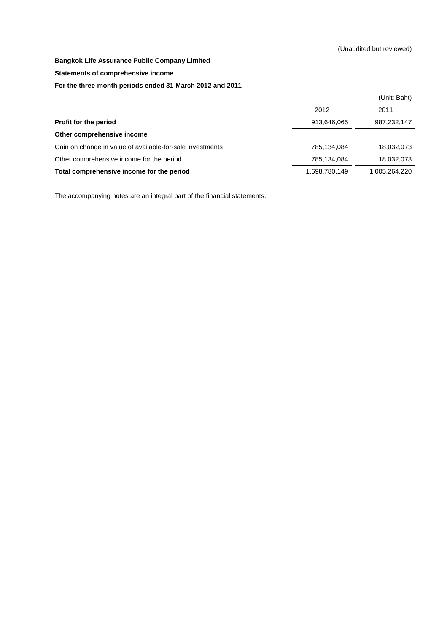**Statements of comprehensive income**

#### **For the three-month periods ended 31 March 2012 and 2011**

|                                                           |               | (Unit: Baht)  |
|-----------------------------------------------------------|---------------|---------------|
|                                                           | 2012          | 2011          |
| Profit for the period                                     | 913,646,065   | 987,232,147   |
| Other comprehensive income                                |               |               |
| Gain on change in value of available-for-sale investments | 785,134,084   | 18,032,073    |
| Other comprehensive income for the period                 | 785,134,084   | 18,032,073    |
| Total comprehensive income for the period                 | 1,698,780,149 | 1,005,264,220 |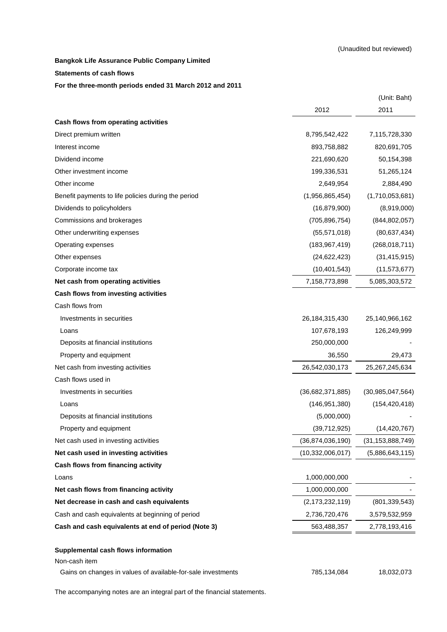#### **Statements of cash flows**

#### **For the three-month periods ended 31 March 2012 and 2011**

|                                                     |                     | (Unit: Baht)        |
|-----------------------------------------------------|---------------------|---------------------|
|                                                     | 2012                | 2011                |
| Cash flows from operating activities                |                     |                     |
| Direct premium written                              | 8,795,542,422       | 7,115,728,330       |
| Interest income                                     | 893,758,882         | 820,691,705         |
| Dividend income                                     | 221,690,620         | 50,154,398          |
| Other investment income                             | 199,336,531         | 51,265,124          |
| Other income                                        | 2,649,954           | 2,884,490           |
| Benefit payments to life policies during the period | (1,956,865,454)     | (1,710,053,681)     |
| Dividends to policyholders                          | (16, 879, 900)      | (8,919,000)         |
| Commissions and brokerages                          | (705, 896, 754)     | (844, 802, 057)     |
| Other underwriting expenses                         | (55, 571, 018)      | (80, 637, 434)      |
| Operating expenses                                  | (183, 967, 419)     | (268, 018, 711)     |
| Other expenses                                      | (24, 622, 423)      | (31, 415, 915)      |
| Corporate income tax                                | (10, 401, 543)      | (11, 573, 677)      |
| Net cash from operating activities                  | 7,158,773,898       | 5,085,303,572       |
| Cash flows from investing activities                |                     |                     |
| Cash flows from                                     |                     |                     |
| Investments in securities                           | 26,184,315,430      | 25,140,966,162      |
| Loans                                               | 107,678,193         | 126,249,999         |
| Deposits at financial institutions                  | 250,000,000         |                     |
| Property and equipment                              | 36,550              | 29,473              |
| Net cash from investing activities                  | 26,542,030,173      | 25,267,245,634      |
| Cash flows used in                                  |                     |                     |
| Investments in securities                           | (36,682,371,885)    | (30, 985, 047, 564) |
| Loans                                               | (146, 951, 380)     | (154, 420, 418)     |
| Deposits at financial institutions                  | (5,000,000)         |                     |
| Property and equipment                              | (39,712,925)        | (14, 420, 767)      |
| Net cash used in investing activities               | (36,874,036,190)    | (31, 153, 888, 749) |
| Net cash used in investing activities               | (10, 332, 006, 017) | (5,886,643,115)     |
| Cash flows from financing activity                  |                     |                     |
| Loans                                               | 1,000,000,000       |                     |
| Net cash flows from financing activity              | 1,000,000,000       |                     |
| Net decrease in cash and cash equivalents           | (2, 173, 232, 119)  | (801, 339, 543)     |
| Cash and cash equivalents at beginning of period    | 2,736,720,476       | 3,579,532,959       |
| Cash and cash equivalents at end of period (Note 3) | 563,488,357         | 2,778,193,416       |
| Supplemental cash flows information                 |                     |                     |
| Non-cash item                                       |                     |                     |
|                                                     |                     |                     |

Gains on changes in values of available-for-sale investments 785,134,084 18,032,073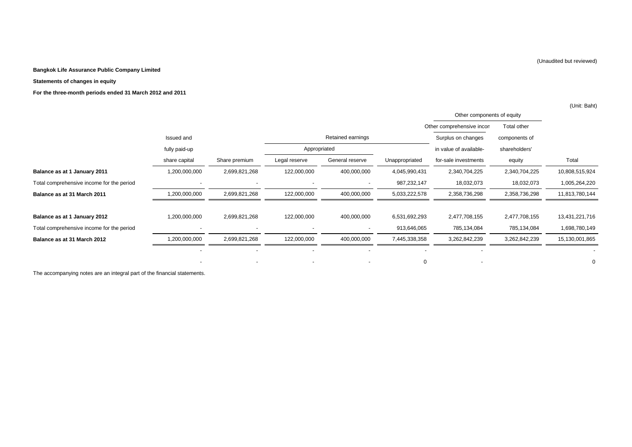#### **Statements of changes in equity**

**For the three-month periods ended 31 March 2012 and 2011**

|                                           |               |                          |               |                          |                |                            |               | (Unit: Baht)   |
|-------------------------------------------|---------------|--------------------------|---------------|--------------------------|----------------|----------------------------|---------------|----------------|
|                                           |               |                          |               |                          |                | Other components of equity |               |                |
|                                           |               |                          |               |                          |                | Other comprehensive incon  | Total other   |                |
|                                           | Issued and    |                          |               | Retained earnings        |                | Surplus on changes         | components of |                |
|                                           | fully paid-up |                          | Appropriated  |                          |                | in value of available-     | shareholders' |                |
|                                           | share capital | Share premium            | Legal reserve | General reserve          | Unappropriated | for-sale investments       | equity        | Total          |
| Balance as at 1 January 2011              | 1,200,000,000 | 2,699,821,268            | 122,000,000   | 400,000,000              | 4,045,990,431  | 2,340,704,225              | 2,340,704,225 | 10,808,515,924 |
| Total comprehensive income for the period |               |                          |               |                          | 987,232,147    | 18,032,073                 | 18,032,073    | 1,005,264,220  |
| Balance as at 31 March 2011               | 1,200,000,000 | 2,699,821,268            | 122,000,000   | 400,000,000              | 5,033,222,578  | 2,358,736,298              | 2,358,736,298 | 11,813,780,144 |
| Balance as at 1 January 2012              | 1,200,000,000 | 2,699,821,268            | 122,000,000   | 400,000,000              | 6,531,692,293  | 2,477,708,155              | 2,477,708,155 | 13,431,221,716 |
| Total comprehensive income for the period |               | $\overline{\phantom{a}}$ |               | $\overline{\phantom{a}}$ | 913,646,065    | 785,134,084                | 785,134,084   | 1,698,780,149  |
| Balance as at 31 March 2012               | 1,200,000,000 | 2,699,821,268            | 122,000,000   | 400,000,000              | 7,445,338,358  | 3,262,842,239              | 3,262,842,239 | 15,130,001,865 |
|                                           |               |                          |               |                          |                |                            |               |                |
|                                           |               |                          |               | $\overline{\phantom{a}}$ | 0              |                            |               | $\mathbf 0$    |

The accompanying notes are an integral part of the financial statements.

(Unaudited but reviewed)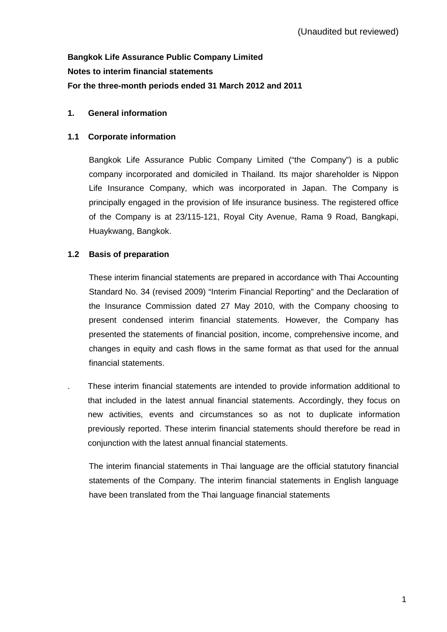# **Bangkok Life Assurance Public Company Limited Notes to interim financial statements For the three-month periods ended 31 March 2012 and 2011**

# **1. General information**

### **1.1 Corporate information**

Bangkok Life Assurance Public Company Limited ("the Company") is a public company incorporated and domiciled in Thailand. Its major shareholder is Nippon Life Insurance Company, which was incorporated in Japan. The Company is principally engaged in the provision of life insurance business. The registered office of the Company is at 23/115-121, Royal City Avenue, Rama 9 Road, Bangkapi, Huaykwang, Bangkok.

# **1.2 Basis of preparation**

These interim financial statements are prepared in accordance with Thai Accounting Standard No. 34 (revised 2009) "Interim Financial Reporting" and the Declaration of the Insurance Commission dated 27 May 2010, with the Company choosing to present condensed interim financial statements. However, the Company has presented the statements of financial position, income, comprehensive income, and changes in equity and cash flows in the same format as that used for the annual financial statements.

. These interim financial statements are intended to provide information additional to that included in the latest annual financial statements. Accordingly, they focus on new activities, events and circumstances so as not to duplicate information previously reported. These interim financial statements should therefore be read in conjunction with the latest annual financial statements.

 The interim financial statements in Thai language are the official statutory financial statements of the Company. The interim financial statements in English language have been translated from the Thai language financial statements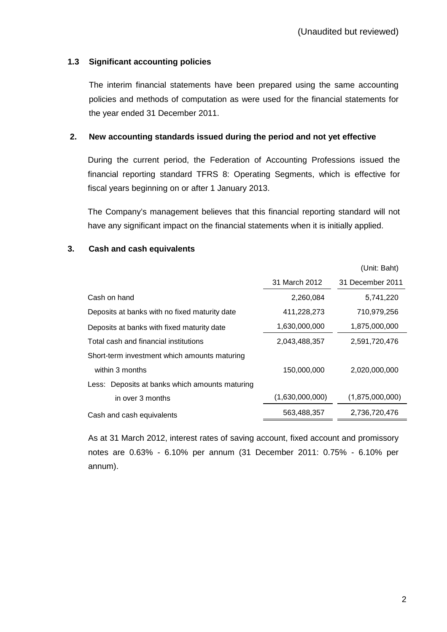# **1.3 Significant accounting policies**

 The interim financial statements have been prepared using the same accounting policies and methods of computation as were used for the financial statements for the year ended 31 December 2011.

### **2. New accounting standards issued during the period and not yet effective**

During the current period, the Federation of Accounting Professions issued the financial reporting standard TFRS 8: Operating Segments, which is effective for fiscal years beginning on or after 1 January 2013.

The Company's management believes that this financial reporting standard will not have any significant impact on the financial statements when it is initially applied.

### **3. Cash and cash equivalents**

|                                                |                 | (Unit: Baht)     |
|------------------------------------------------|-----------------|------------------|
|                                                | 31 March 2012   | 31 December 2011 |
| Cash on hand                                   | 2,260,084       | 5,741,220        |
| Deposits at banks with no fixed maturity date  | 411,228,273     | 710,979,256      |
| Deposits at banks with fixed maturity date     | 1,630,000,000   | 1,875,000,000    |
| Total cash and financial institutions          | 2,043,488,357   | 2,591,720,476    |
| Short-term investment which amounts maturing   |                 |                  |
| within 3 months                                | 150,000,000     | 2.020.000.000    |
| Less: Deposits at banks which amounts maturing |                 |                  |
| in over 3 months                               | (1,630,000,000) | (1,875,000,000)  |
| Cash and cash equivalents                      | 563,488,357     | 2,736,720,476    |
|                                                |                 |                  |

 As at 31 March 2012, interest rates of saving account, fixed account and promissory notes are 0.63% - 6.10% per annum (31 December 2011: 0.75% - 6.10% per annum).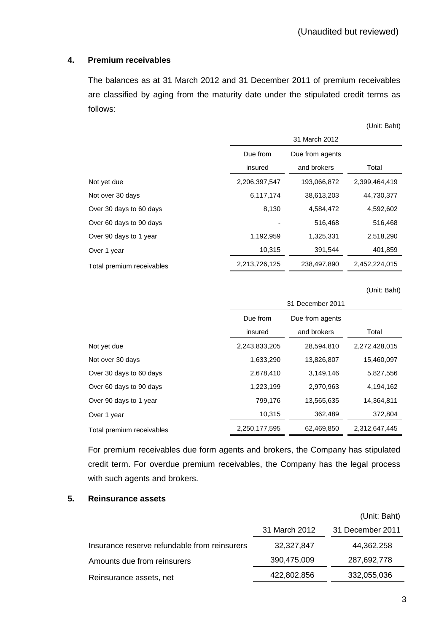#### **4. Premium receivables**

 The balances as at 31 March 2012 and 31 December 2011 of premium receivables are classified by aging from the maturity date under the stipulated credit terms as follows:

|                           |               |                 | (Unit: Baht)  |
|---------------------------|---------------|-----------------|---------------|
|                           |               | 31 March 2012   |               |
|                           | Due from      | Due from agents |               |
|                           | insured       | and brokers     | Total         |
| Not yet due               | 2,206,397,547 | 193,066,872     | 2,399,464,419 |
| Not over 30 days          | 6,117,174     | 38,613,203      | 44,730,377    |
| Over 30 days to 60 days   | 8,130         | 4,584,472       | 4,592,602     |
| Over 60 days to 90 days   |               | 516,468         | 516,468       |
| Over 90 days to 1 year    | 1,192,959     | 1,325,331       | 2,518,290     |
| Over 1 year               | 10,315        | 391,544         | 401,859       |
| Total premium receivables | 2,213,726,125 | 238,497,890     | 2,452,224,015 |

(Unit: Baht)

|                           | 31 December 2011 |                 |               |  |
|---------------------------|------------------|-----------------|---------------|--|
|                           | Due from         | Due from agents |               |  |
|                           | insured          | and brokers     | Total         |  |
| Not yet due               | 2,243,833,205    | 28,594,810      | 2,272,428,015 |  |
| Not over 30 days          | 1,633,290        | 13,826,807      | 15,460,097    |  |
| Over 30 days to 60 days   | 2,678,410        | 3,149,146       | 5,827,556     |  |
| Over 60 days to 90 days   | 1,223,199        | 2,970,963       | 4,194,162     |  |
| Over 90 days to 1 year    | 799,176          | 13,565,635      | 14,364,811    |  |
| Over 1 year               | 10,315           | 362,489         | 372,804       |  |
| Total premium receivables | 2,250,177,595    | 62,469,850      | 2,312,647,445 |  |

 For premium receivables due form agents and brokers, the Company has stipulated credit term. For overdue premium receivables, the Company has the legal process with such agents and brokers.

#### **5. Reinsurance assets**

|                                              |               | (Unit: Baht)     |
|----------------------------------------------|---------------|------------------|
|                                              | 31 March 2012 | 31 December 2011 |
| Insurance reserve refundable from reinsurers | 32,327,847    | 44,362,258       |
| Amounts due from reinsurers                  | 390,475,009   | 287,692,778      |
| Reinsurance assets, net                      | 422,802,856   | 332,055,036      |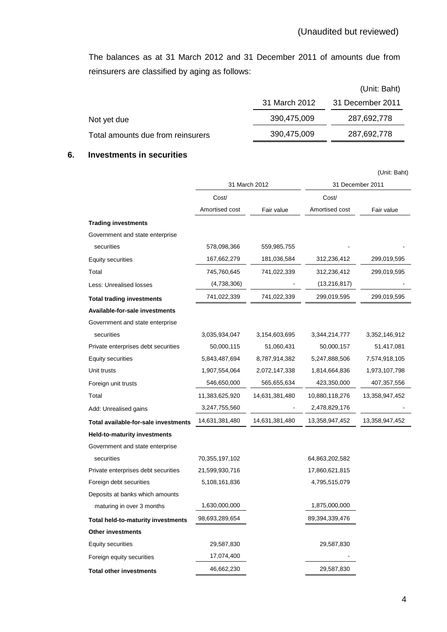The balances as at 31 March 2012 and 31 December 2011 of amounts due from reinsurers are classified by aging as follows:

|                                   |               | (Unit: Baht)     |
|-----------------------------------|---------------|------------------|
|                                   | 31 March 2012 | 31 December 2011 |
| Not yet due                       | 390,475,009   | 287,692,778      |
| Total amounts due from reinsurers | 390,475,009   | 287,692,778      |

### **6. Investments in securities**

|                                           |                |                |                  | (Unit: Baht)   |
|-------------------------------------------|----------------|----------------|------------------|----------------|
|                                           |                | 31 March 2012  | 31 December 2011 |                |
|                                           | Cost/          |                | Cost/            |                |
|                                           | Amortised cost | Fair value     | Amortised cost   | Fair value     |
| <b>Trading investments</b>                |                |                |                  |                |
| Government and state enterprise           |                |                |                  |                |
| securities                                | 578,098,366    | 559,985,755    |                  |                |
| <b>Equity securities</b>                  | 167,662,279    | 181,036,584    | 312,236,412      | 299,019,595    |
| Total                                     | 745,760,645    | 741,022,339    | 312,236,412      | 299,019,595    |
| Less: Unrealised losses                   | (4,738,306)    |                | (13, 216, 817)   |                |
| <b>Total trading investments</b>          | 741,022,339    | 741,022,339    | 299,019,595      | 299,019,595    |
| Available-for-sale investments            |                |                |                  |                |
| Government and state enterprise           |                |                |                  |                |
| securities                                | 3,035,934,047  | 3,154,603,695  | 3,344,214,777    | 3,352,146,912  |
| Private enterprises debt securities       | 50,000,115     | 51,060,431     | 50,000,157       | 51,417,081     |
| <b>Equity securities</b>                  | 5,843,487,694  | 8,787,914,382  | 5,247,888,506    | 7,574,918,105  |
| Unit trusts                               | 1,907,554,064  | 2,072,147,338  | 1,814,664,836    | 1,973,107,798  |
| Foreign unit trusts                       | 546,650,000    | 565,655,634    | 423,350,000      | 407,357,556    |
| Total                                     | 11,383,625,920 | 14,631,381,480 | 10,880,118,276   | 13,358,947,452 |
| Add: Unrealised gains                     | 3,247,755,560  |                | 2,478,829,176    |                |
| Total available-for-sale investments      | 14,631,381,480 | 14,631,381,480 | 13,358,947,452   | 13,358,947,452 |
| Held-to-maturity investments              |                |                |                  |                |
| Government and state enterprise           |                |                |                  |                |
| securities                                | 70,355,197,102 |                | 64,863,202,582   |                |
| Private enterprises debt securities       | 21,599,930,716 |                | 17,860,621,815   |                |
| Foreign debt securities                   | 5,108,161,836  |                | 4,795,515,079    |                |
| Deposits at banks which amounts           |                |                |                  |                |
| maturing in over 3 months                 | 1,630,000,000  |                | 1,875,000,000    |                |
| <b>Total held-to-maturity investments</b> | 98,693,289,654 |                | 89,394,339,476   |                |
| <b>Other investments</b>                  |                |                |                  |                |
| <b>Equity securities</b>                  | 29,587,830     |                | 29,587,830       |                |
| Foreign equity securities                 | 17,074,400     |                |                  |                |
| <b>Total other investments</b>            | 46,662,230     |                | 29,587,830       |                |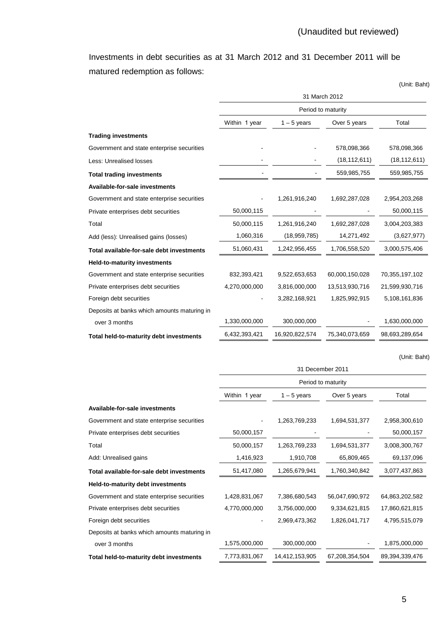Investments in debt securities as at 31 March 2012 and 31 December 2011 will be matured redemption as follows:

|                                             | 31 March 2012      |                |                |                |  |  |
|---------------------------------------------|--------------------|----------------|----------------|----------------|--|--|
|                                             | Period to maturity |                |                |                |  |  |
|                                             | Within 1 year      | $1 - 5$ years  | Over 5 years   | Total          |  |  |
| <b>Trading investments</b>                  |                    |                |                |                |  |  |
| Government and state enterprise securities  |                    |                | 578,098,366    | 578,098,366    |  |  |
| Less: Unrealised losses                     |                    |                | (18, 112, 611) | (18, 112, 611) |  |  |
| <b>Total trading investments</b>            |                    |                | 559,985,755    | 559,985,755    |  |  |
| Available-for-sale investments              |                    |                |                |                |  |  |
| Government and state enterprise securities  |                    | 1,261,916,240  | 1,692,287,028  | 2,954,203,268  |  |  |
| Private enterprises debt securities         | 50,000,115         |                |                | 50,000,115     |  |  |
| Total                                       | 50,000,115         | 1,261,916,240  | 1,692,287,028  | 3,004,203,383  |  |  |
| Add (less): Unrealised gains (losses)       | 1,060,316          | (18, 959, 785) | 14,271,492     | (3,627,977)    |  |  |
| Total available-for-sale debt investments   | 51,060,431         | 1,242,956,455  | 1,706,558,520  | 3,000,575,406  |  |  |
| <b>Held-to-maturity investments</b>         |                    |                |                |                |  |  |
| Government and state enterprise securities  | 832,393,421        | 9,522,653,653  | 60,000,150,028 | 70,355,197,102 |  |  |
| Private enterprises debt securities         | 4,270,000,000      | 3,816,000,000  | 13,513,930,716 | 21,599,930,716 |  |  |
| Foreign debt securities                     |                    | 3,282,168,921  | 1,825,992,915  | 5,108,161,836  |  |  |
| Deposits at banks which amounts maturing in |                    |                |                |                |  |  |
| over 3 months                               | 1,330,000,000      | 300,000,000    |                | 1,630,000,000  |  |  |
| Total held-to-maturity debt investments     | 6,432,393,421      | 16,920,822,574 | 75,340,073,659 | 98,693,289,654 |  |  |

(Unit: Baht)

(Unit: Baht)

|                                             | 31 December 2011   |                |                |                   |  |  |
|---------------------------------------------|--------------------|----------------|----------------|-------------------|--|--|
|                                             | Period to maturity |                |                |                   |  |  |
|                                             | Within 1 year      | $1 - 5$ years  | Over 5 years   | Total             |  |  |
| Available-for-sale investments              |                    |                |                |                   |  |  |
| Government and state enterprise securities  |                    | 1,263,769,233  | 1,694,531,377  | 2,958,300,610     |  |  |
| Private enterprises debt securities         | 50,000,157         |                |                | 50,000,157        |  |  |
| Total                                       | 50,000,157         | 1,263,769,233  | 1,694,531,377  | 3,008,300,767     |  |  |
| Add: Unrealised gains                       | 1,416,923          | 1,910,708      | 65,809,465     | 69,137,096        |  |  |
| Total available-for-sale debt investments   | 51,417,080         | 1,265,679,941  | 1,760,340,842  | 3,077,437,863     |  |  |
| Held-to-maturity debt investments           |                    |                |                |                   |  |  |
| Government and state enterprise securities  | 1,428,831,067      | 7,386,680,543  | 56,047,690,972 | 64,863,202,582    |  |  |
| Private enterprises debt securities         | 4,770,000,000      | 3,756,000,000  | 9,334,621,815  | 17,860,621,815    |  |  |
| Foreign debt securities                     |                    | 2,969,473,362  | 1,826,041,717  | 4,795,515,079     |  |  |
| Deposits at banks which amounts maturing in |                    |                |                |                   |  |  |
| over 3 months                               | 1,575,000,000      | 300,000,000    |                | 1,875,000,000     |  |  |
| Total held-to-maturity debt investments     | 7,773,831,067      | 14,412,153,905 | 67,208,354,504 | 89, 394, 339, 476 |  |  |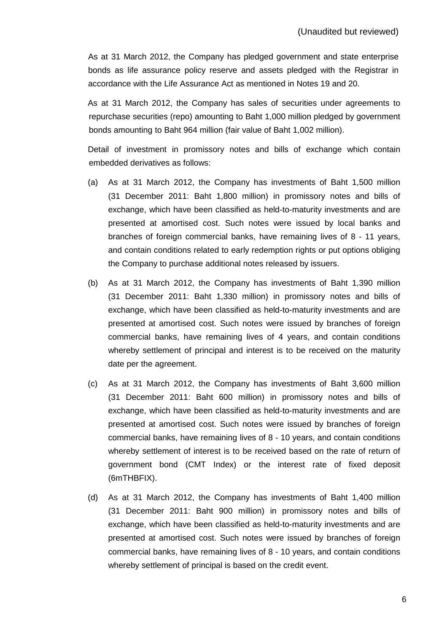As at 31 March 2012, the Company has pledged government and state enterprise bonds as life assurance policy reserve and assets pledged with the Registrar in accordance with the Life Assurance Act as mentioned in Notes 19 and 20.

 As at 31 March 2012, the Company has sales of securities under agreements to repurchase securities (repo) amounting to Baht 1,000 million pledged by government bonds amounting to Baht 964 million (fair value of Baht 1,002 million).

 Detail of investment in promissory notes and bills of exchange which contain embedded derivatives as follows:

- (a) As at 31 March 2012, the Company has investments of Baht 1,500 million (31 December 2011: Baht 1,800 million) in promissory notes and bills of exchange, which have been classified as held-to-maturity investments and are presented at amortised cost. Such notes were issued by local banks and branches of foreign commercial banks, have remaining lives of 8 - 11 years, and contain conditions related to early redemption rights or put options obliging the Company to purchase additional notes released by issuers.
- (b) As at 31 March 2012, the Company has investments of Baht 1,390 million (31 December 2011: Baht 1,330 million) in promissory notes and bills of exchange, which have been classified as held-to-maturity investments and are presented at amortised cost. Such notes were issued by branches of foreign commercial banks, have remaining lives of 4 years, and contain conditions whereby settlement of principal and interest is to be received on the maturity date per the agreement.
- (c) As at 31 March 2012, the Company has investments of Baht 3,600 million (31 December 2011: Baht 600 million) in promissory notes and bills of exchange, which have been classified as held-to-maturity investments and are presented at amortised cost. Such notes were issued by branches of foreign commercial banks, have remaining lives of 8 - 10 years, and contain conditions whereby settlement of interest is to be received based on the rate of return of government bond (CMT Index) or the interest rate of fixed deposit (6mTHBFIX).
- (d) As at 31 March 2012, the Company has investments of Baht 1,400 million (31 December 2011: Baht 900 million) in promissory notes and bills of exchange, which have been classified as held-to-maturity investments and are presented at amortised cost. Such notes were issued by branches of foreign commercial banks, have remaining lives of 8 - 10 years, and contain conditions whereby settlement of principal is based on the credit event.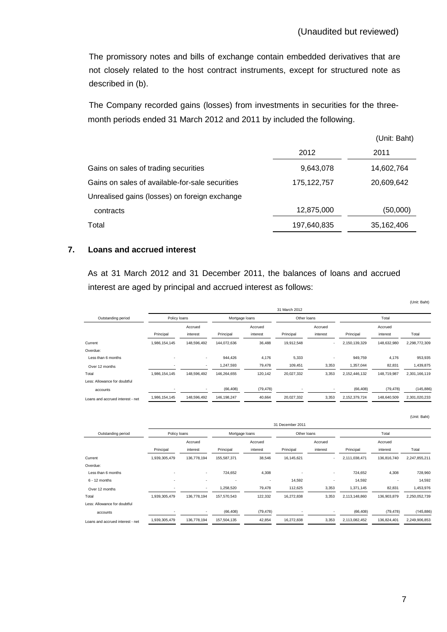The promissory notes and bills of exchange contain embedded derivatives that are not closely related to the host contract instruments, except for structured note as described in (b).

The Company recorded gains (losses) from investments in securities for the threemonth periods ended 31 March 2012 and 2011 by included the following.

|                                                 |               | (Unit: Baht) |
|-------------------------------------------------|---------------|--------------|
|                                                 | 2012          | 2011         |
| Gains on sales of trading securities            | 9,643,078     | 14,602,764   |
| Gains on sales of available-for-sale securities | 175, 122, 757 | 20,609,642   |
| Unrealised gains (losses) on foreign exchange   |               |              |
| contracts                                       | 12,875,000    | (50,000)     |
| Total                                           | 197,640,835   | 35,162,406   |

#### **7. Loans and accrued interest**

 As at 31 March 2012 and 31 December 2011, the balances of loans and accrued interest are aged by principal and accrued interest as follows:

|                                  |               |                          |                |                     | 31 March 2012 |                     |               |                     |               |
|----------------------------------|---------------|--------------------------|----------------|---------------------|---------------|---------------------|---------------|---------------------|---------------|
| Outstanding period               | Policy loans  |                          | Mortgage loans |                     |               | Other loans         |               | Total               |               |
|                                  | Principal     | Accrued<br>interest      | Principal      | Accrued<br>interest | Principal     | Accrued<br>interest | Principal     | Accrued<br>interest | Total         |
| Current                          | 1,986,154,145 | 148,596,492              | 144,072,636    | 36,488              | 19,912,548    |                     | 2,150,139,329 | 148,632,980         | 2,298,772,309 |
| Overdue:                         |               |                          |                |                     |               |                     |               |                     |               |
| Less than 6 months               | $\,$          | $\sim$                   | 944.426        | 4,176               | 5,333         | ٠                   | 949,759       | 4,176               | 953,935       |
| Over 12 months                   |               | ٠                        | 1,247,593      | 79,478              | 109,451       | 3,353               | 1,357,044     | 82,831              | 1,439,875     |
| Total                            | 1,986,154,145 | 148,596,492              | 146,264,655    | 120,142             | 20,027,332    | 3,353               | 2,152,446,132 | 148,719,987         | 2,301,166,119 |
| Less: Allowance for doubtful     |               |                          |                |                     |               |                     |               |                     |               |
| accounts                         |               | $\overline{\phantom{a}}$ | (66, 408)      | (79, 478)           |               | ۰                   | (66, 408)     | (79, 478)           | (145, 886)    |
| Loans and accrued interest - net | 1,986,154,145 | 148,596,492              | 146, 198, 247  | 40,664              | 20,027,332    | 3,353               | 2,152,379,724 | 148,640,509         | 2,301,020,233 |

|                                  |                          |                                |             |                          | 31 December 2011 |          |               |             |               |
|----------------------------------|--------------------------|--------------------------------|-------------|--------------------------|------------------|----------|---------------|-------------|---------------|
| Outstanding period               |                          | Policy loans<br>Mortgage loans |             |                          | Other loans      |          | Total         |             |               |
|                                  |                          | Accrued                        |             | Accrued                  |                  | Accrued  |               | Accrued     |               |
|                                  | Principal                | interest                       | Principal   | interest                 | Principal        | interest | Principal     | interest    | Total         |
| Current                          | 1,939,305,479            | 136,778,194                    | 155,587,371 | 38,546                   | 16,145,621       |          | 2,111,038,471 | 136,816,740 | 2,247,855,211 |
| Overdue:                         |                          |                                |             |                          |                  |          |               |             |               |
| Less than 6 months               | $\overline{\phantom{a}}$ | $\sim$                         | 724,652     | 4,308                    |                  | ٠        | 724,652       | 4,308       | 728,960       |
| $6 - 12$ months                  | $\overline{\phantom{a}}$ | ٠                              | ۰           | $\overline{\phantom{a}}$ | 14,592           |          | 14,592        | ۰           | 14,592        |
| Over 12 months                   |                          | ٠                              | 1,258,520   | 79,478                   | 112,625          | 3,353    | 1,371,145     | 82,831      | 1,453,976     |
| Total                            | 1,939,305,479            | 136,778,194                    | 157,570,543 | 122,332                  | 16,272,838       | 3,353    | 2,113,148,860 | 136,903,879 | 2,250,052,739 |
| Less: Allowance for doubtful     |                          |                                |             |                          |                  |          |               |             |               |
| accounts                         |                          | ۰                              | (66, 408)   | (79, 478)                |                  | ۰        | (66, 408)     | (79, 478)   | (145, 886)    |
| Loans and accrued interest - net | 1,939,305,479            | 136,778,194                    | 157,504,135 | 42,854                   | 16,272,838       | 3,353    | 2,113,082,452 | 136,824,401 | 2,249,906,853 |

(Unit: Baht)

(Unit: Baht)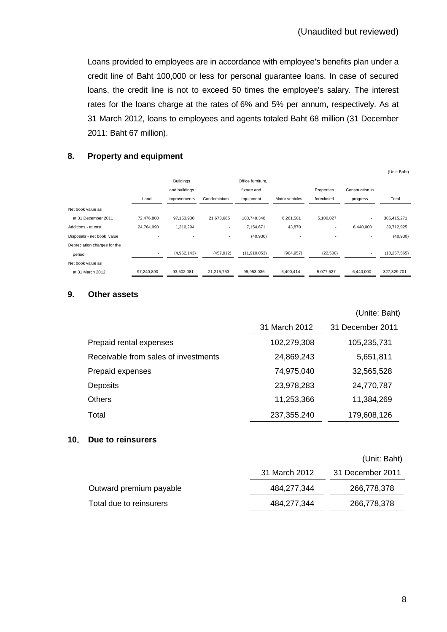Loans provided to employees are in accordance with employee's benefits plan under a credit line of Baht 100,000 or less for personal guarantee loans. In case of secured loans, the credit line is not to exceed 50 times the employee's salary. The interest rates for the loans charge at the rates of 6% and 5% per annum, respectively. As at 31 March 2012, loans to employees and agents totaled Baht 68 million (31 December 2011: Baht 67 million).

### **8. Property and equipment**

|                              |                          |                  |             |                   |                |            |                 | (Unit: Baht)   |
|------------------------------|--------------------------|------------------|-------------|-------------------|----------------|------------|-----------------|----------------|
|                              |                          | <b>Buildings</b> |             | Office furniture, |                |            |                 |                |
|                              |                          | and buildings    |             | fixture and       |                | Properties | Construction in |                |
|                              | Land                     | improvements     | Condominium | equipment         | Motor vehicles | foreclosed | progress        | Total          |
| Net book value as            |                          |                  |             |                   |                |            |                 |                |
| at 31 December 2011          | 72,476,800               | 97,153,930       | 21,673,665  | 103,749,348       | 6,261,501      | 5,100,027  | ٠               | 306,415,271    |
| Additions - at cost          | 24,764,090               | 1,310,294        | ٠           | 7,154,671         | 43,870         | ٠          | 6,440,000       | 39,712,925     |
| Disposals - net book value   | $\overline{\phantom{a}}$ | ٠                | ۰           | (40, 930)         | $\overline{a}$ | ٠          | ٠               | (40, 930)      |
| Depreciation charges for the |                          |                  |             |                   |                |            |                 |                |
| period                       | $\overline{a}$           | (4,962,143)      | (457, 912)  | (11, 910, 053)    | (904, 957)     | (22, 500)  | ٠               | (18, 257, 565) |
| Net book value as            |                          |                  |             |                   |                |            |                 |                |
| at 31 March 2012             | 97,240,890               | 93,502,081       | 21,215,753  | 98,953,036        | 5,400,414      | 5,077,527  | 6,440,000       | 327,829,701    |

#### **9. Other assets**

| 31 March 2012 |                  |
|---------------|------------------|
|               | 31 December 2011 |
| 102,279,308   | 105,235,731      |
| 24,869,243    | 5,651,811        |
| 74,975,040    | 32,565,528       |
| 23,978,283    | 24,770,787       |
| 11,253,366    | 11,384,269       |
| 237, 355, 240 | 179,608,126      |
|               |                  |

#### **10**. **Due to reinsurers**

|  | (Unit: Baht) |
|--|--------------|
|--|--------------|

(Unite: Baht)

|                         | 31 March 2012 | 31 December 2011 |
|-------------------------|---------------|------------------|
| Outward premium payable | 484.277.344   | 266.778.378      |
| Total due to reinsurers | 484,277,344   | 266,778,378      |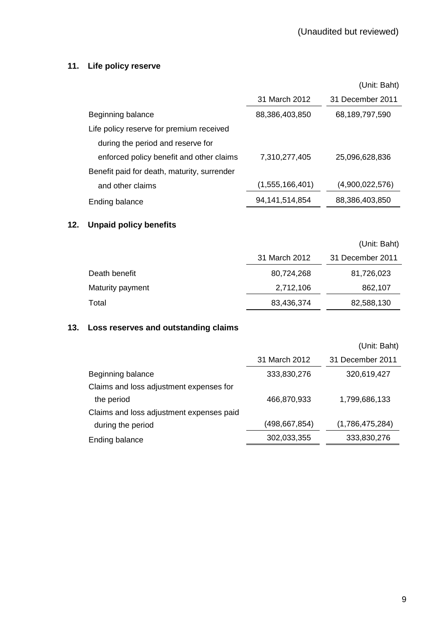# **11. Life policy reserve**

|                                             |                   | (Unit: Baht)     |
|---------------------------------------------|-------------------|------------------|
|                                             | 31 March 2012     | 31 December 2011 |
| Beginning balance                           | 88,386,403,850    | 68,189,797,590   |
| Life policy reserve for premium received    |                   |                  |
| during the period and reserve for           |                   |                  |
| enforced policy benefit and other claims    | 7,310,277,405     | 25.096.628.836   |
| Benefit paid for death, maturity, surrender |                   |                  |
| and other claims                            | (1,555,166,401)   | (4,900,022,576)  |
| Ending balance                              | 94, 141, 514, 854 | 88,386,403,850   |
|                                             |                   |                  |

# **12. Unpaid policy benefits**

|                  |               | (Unit: Baht)     |
|------------------|---------------|------------------|
|                  | 31 March 2012 | 31 December 2011 |
| Death benefit    | 80,724,268    | 81,726,023       |
| Maturity payment | 2,712,106     | 862,107          |
| Total            | 83,436,374    | 82,588,130       |

# **13. Loss reserves and outstanding claims**

|                                          |               | (Unit: Baht)     |
|------------------------------------------|---------------|------------------|
|                                          | 31 March 2012 | 31 December 2011 |
| Beginning balance                        | 333,830,276   | 320,619,427      |
| Claims and loss adjustment expenses for  |               |                  |
| the period                               | 466,870,933   | 1,799,686,133    |
| Claims and loss adjustment expenses paid |               |                  |
| during the period                        | (498,667,854) | (1,786,475,284)  |
| Ending balance                           | 302,033,355   | 333,830,276      |
|                                          |               |                  |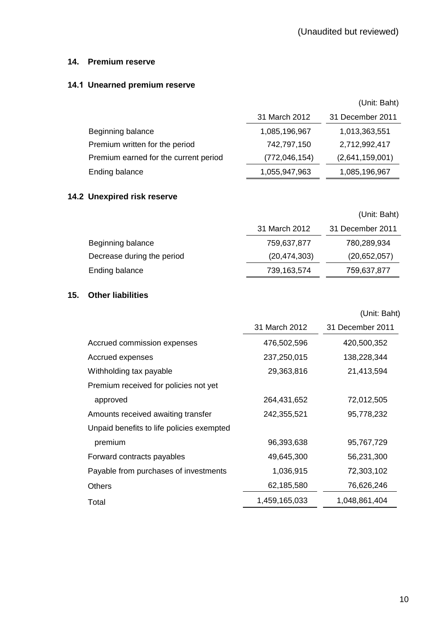#### **14. Premium reserve**

# **14.1 Unearned premium reserve**

|                                       |                 | (Unit: Baht)     |
|---------------------------------------|-----------------|------------------|
|                                       | 31 March 2012   | 31 December 2011 |
| Beginning balance                     | 1,085,196,967   | 1,013,363,551    |
| Premium written for the period        | 742,797,150     | 2,712,992,417    |
| Premium earned for the current period | (772, 046, 154) | (2,641,159,001)  |
| Ending balance                        | 1,055,947,963   | 1,085,196,967    |

# **14.2 Unexpired risk reserve**

|                            |                | (Unit: Baht)     |
|----------------------------|----------------|------------------|
|                            | 31 March 2012  | 31 December 2011 |
| Beginning balance          | 759,637,877    | 780,289,934      |
| Decrease during the period | (20, 474, 303) | (20,652,057)     |
| Ending balance             | 739,163,574    | 759,637,877      |

# **15. Other liabilities**

|                                           |               | (Unit: Baht)     |
|-------------------------------------------|---------------|------------------|
|                                           | 31 March 2012 | 31 December 2011 |
| Accrued commission expenses               | 476,502,596   | 420,500,352      |
| Accrued expenses                          | 237,250,015   | 138,228,344      |
| Withholding tax payable                   | 29,363,816    | 21,413,594       |
| Premium received for policies not yet     |               |                  |
| approved                                  | 264,431,652   | 72,012,505       |
| Amounts received awaiting transfer        | 242,355,521   | 95,778,232       |
| Unpaid benefits to life policies exempted |               |                  |
| premium                                   | 96,393,638    | 95,767,729       |
| Forward contracts payables                | 49,645,300    | 56,231,300       |
| Payable from purchases of investments     | 1,036,915     | 72,303,102       |
| <b>Others</b>                             | 62,185,580    | 76,626,246       |
| Total                                     | 1,459,165,033 | 1,048,861,404    |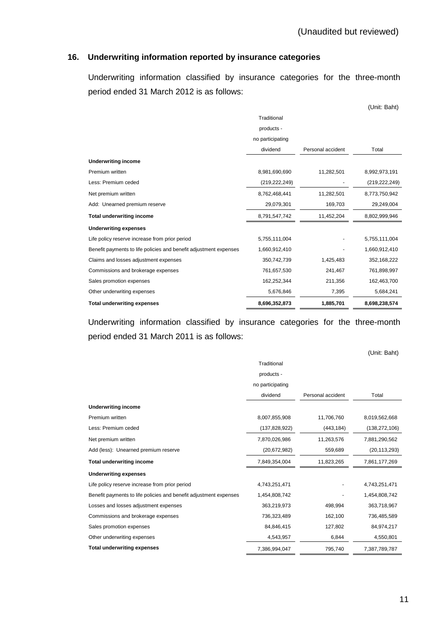### **16. Underwriting information reported by insurance categories**

 Underwriting information classified by insurance categories for the three-month period ended 31 March 2012 is as follows:

|                                                                   |                  |                   | (Unit: Baht)    |
|-------------------------------------------------------------------|------------------|-------------------|-----------------|
|                                                                   | Traditional      |                   |                 |
|                                                                   | products -       |                   |                 |
|                                                                   | no participating |                   |                 |
|                                                                   | dividend         | Personal accident | Total           |
| <b>Underwriting income</b>                                        |                  |                   |                 |
| Premium written                                                   | 8,981,690,690    | 11,282,501        | 8,992,973,191   |
| Less: Premium ceded                                               | (219, 222, 249)  |                   | (219, 222, 249) |
| Net premium written                                               | 8,762,468,441    | 11,282,501        | 8,773,750,942   |
| Add: Unearned premium reserve                                     | 29,079,301       | 169,703           | 29,249,004      |
| <b>Total underwriting income</b>                                  | 8,791,547,742    | 11,452,204        | 8,802,999,946   |
| <b>Underwriting expenses</b>                                      |                  |                   |                 |
| Life policy reserve increase from prior period                    | 5,755,111,004    |                   | 5,755,111,004   |
| Benefit payments to life policies and benefit adjustment expenses | 1,660,912,410    |                   | 1,660,912,410   |
| Claims and losses adjustment expenses                             | 350,742,739      | 1,425,483         | 352,168,222     |
| Commissions and brokerage expenses                                | 761,657,530      | 241,467           | 761,898,997     |
| Sales promotion expenses                                          | 162,252,344      | 211,356           | 162,463,700     |
| Other underwriting expenses                                       | 5,676,846        | 7,395             | 5,684,241       |
| <b>Total underwriting expenses</b>                                | 8,696,352,873    | 1,885,701         | 8,698,238,574   |

 Underwriting information classified by insurance categories for the three-month period ended 31 March 2011 is as follows:

|                                                                   |                  |                   | (Unit: Baht)    |
|-------------------------------------------------------------------|------------------|-------------------|-----------------|
|                                                                   | Traditional      |                   |                 |
|                                                                   | products -       |                   |                 |
|                                                                   | no participating |                   |                 |
|                                                                   | dividend         | Personal accident | Total           |
| <b>Underwriting income</b>                                        |                  |                   |                 |
| Premium written                                                   | 8,007,855,908    | 11,706,760        | 8,019,562,668   |
| Less: Premium ceded                                               | (137, 828, 922)  | (443, 184)        | (138, 272, 106) |
| Net premium written                                               | 7,870,026,986    | 11,263,576        | 7,881,290,562   |
| Add (less): Unearned premium reserve                              | (20, 672, 982)   | 559,689           | (20, 113, 293)  |
| <b>Total underwriting income</b>                                  | 7,849,354,004    | 11,823,265        | 7,861,177,269   |
| <b>Underwriting expenses</b>                                      |                  |                   |                 |
| Life policy reserve increase from prior period                    | 4,743,251,471    |                   | 4,743,251,471   |
| Benefit payments to life policies and benefit adjustment expenses | 1,454,808,742    |                   | 1,454,808,742   |
| Losses and losses adjustment expenses                             | 363,219,973      | 498,994           | 363,718,967     |
| Commissions and brokerage expenses                                | 736,323,489      | 162,100           | 736,485,589     |
| Sales promotion expenses                                          | 84,846,415       | 127,802           | 84,974,217      |
| Other underwriting expenses                                       | 4,543,957        | 6,844             | 4,550,801       |
| <b>Total underwriting expenses</b>                                | 7,386,994,047    | 795,740           | 7,387,789,787   |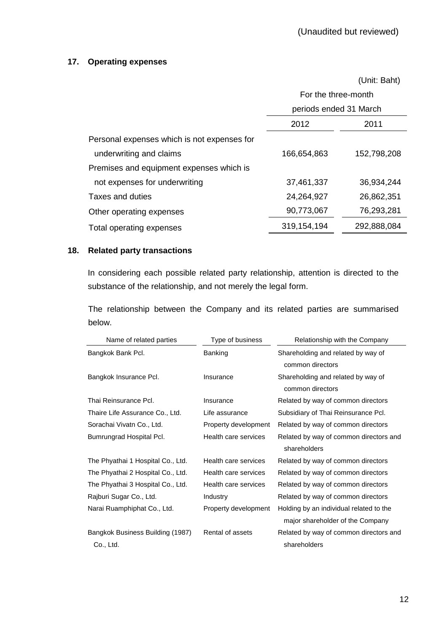# **17. Operating expenses**

(Unit: Baht)

|                                             | For the three-month<br>periods ended 31 March |             |  |
|---------------------------------------------|-----------------------------------------------|-------------|--|
|                                             | 2012<br>2011                                  |             |  |
| Personal expenses which is not expenses for |                                               |             |  |
| underwriting and claims                     | 166,654,863                                   | 152,798,208 |  |
| Premises and equipment expenses which is    |                                               |             |  |
| not expenses for underwriting               | 37,461,337                                    | 36,934,244  |  |
| Taxes and duties                            | 24,264,927                                    | 26,862,351  |  |
| Other operating expenses                    | 90,773,067                                    | 76,293,281  |  |
| Total operating expenses                    | 319, 154, 194                                 | 292,888,084 |  |

# **18. Related party transactions**

 In considering each possible related party relationship, attention is directed to the substance of the relationship, and not merely the legal form.

 The relationship between the Company and its related parties are summarised below.

| Name of related parties           | Type of business     | Relationship with the Company           |
|-----------------------------------|----------------------|-----------------------------------------|
| Bangkok Bank Pcl.                 | <b>Banking</b>       | Shareholding and related by way of      |
|                                   |                      | common directors                        |
| Bangkok Insurance Pcl.            | Insurance            | Shareholding and related by way of      |
|                                   |                      | common directors                        |
| Thai Reinsurance Pcl.             | Insurance            | Related by way of common directors      |
| Thaire Life Assurance Co., Ltd.   | Life assurance       | Subsidiary of Thai Reinsurance Pcl.     |
| Sorachai Vivatn Co., Ltd.         | Property development | Related by way of common directors      |
| Bumrungrad Hospital Pcl.          | Health care services | Related by way of common directors and  |
|                                   |                      | shareholders                            |
| The Phyathai 1 Hospital Co., Ltd. | Health care services | Related by way of common directors      |
| The Phyathai 2 Hospital Co., Ltd. | Health care services | Related by way of common directors      |
| The Phyathai 3 Hospital Co., Ltd. | Health care services | Related by way of common directors      |
| Rajburi Sugar Co., Ltd.           | Industry             | Related by way of common directors      |
| Narai Ruamphiphat Co., Ltd.       | Property development | Holding by an individual related to the |
|                                   |                      | major shareholder of the Company        |
| Bangkok Business Building (1987)  | Rental of assets     | Related by way of common directors and  |
| Co., Ltd.                         |                      | shareholders                            |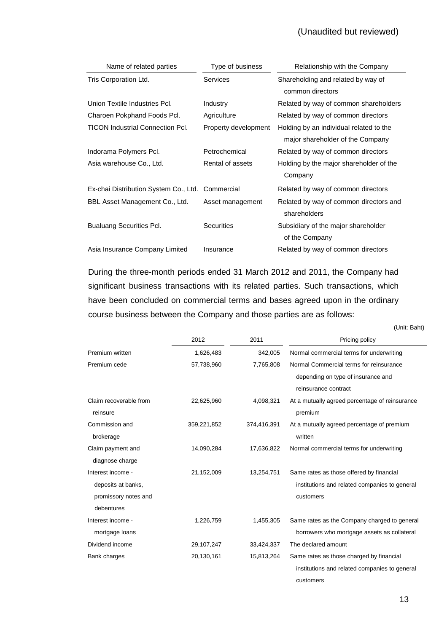# (Unaudited but reviewed)

| Name of related parties                 | Type of business     | Relationship with the Company           |
|-----------------------------------------|----------------------|-----------------------------------------|
| Tris Corporation Ltd.                   | <b>Services</b>      | Shareholding and related by way of      |
|                                         |                      | common directors                        |
| Union Textile Industries Pcl.           | Industry             | Related by way of common shareholders   |
| Charoen Pokphand Foods Pcl.             | Agriculture          | Related by way of common directors      |
| <b>TICON Industrial Connection Pcl.</b> | Property development | Holding by an individual related to the |
|                                         |                      | major shareholder of the Company        |
| Indorama Polymers Pcl.                  | Petrochemical        | Related by way of common directors      |
| Asia warehouse Co., Ltd.                | Rental of assets     | Holding by the major shareholder of the |
|                                         |                      | Company                                 |
| Ex-chai Distribution System Co., Ltd.   | Commercial           | Related by way of common directors      |
| BBL Asset Management Co., Ltd.          | Asset management     | Related by way of common directors and  |
|                                         |                      | shareholders                            |
| <b>Bualuang Securities Pcl.</b>         | <b>Securities</b>    | Subsidiary of the major shareholder     |
|                                         |                      | of the Company                          |
| Asia Insurance Company Limited          | Insurance            | Related by way of common directors      |

During the three-month periods ended 31 March 2012 and 2011, the Company had significant business transactions with its related parties. Such transactions, which have been concluded on commercial terms and bases agreed upon in the ordinary course business between the Company and those parties are as follows:

(Unit: Baht)

|                        | 2012        | 2011        | Pricing policy                                 |
|------------------------|-------------|-------------|------------------------------------------------|
| Premium written        | 1,626,483   | 342,005     | Normal commercial terms for underwriting       |
| Premium cede           | 57,738,960  | 7,765,808   | Normal Commercial terms for reinsurance        |
|                        |             |             | depending on type of insurance and             |
|                        |             |             | reinsurance contract                           |
| Claim recoverable from | 22,625,960  | 4,098,321   | At a mutually agreed percentage of reinsurance |
| reinsure               |             |             | premium                                        |
| Commission and         | 359,221,852 | 374,416,391 | At a mutually agreed percentage of premium     |
| brokerage              |             |             | written                                        |
| Claim payment and      | 14,090,284  | 17,636,822  | Normal commercial terms for underwriting       |
| diagnose charge        |             |             |                                                |
| Interest income -      | 21,152,009  | 13,254,751  | Same rates as those offered by financial       |
| deposits at banks,     |             |             | institutions and related companies to general  |
| promissory notes and   |             |             | customers                                      |
| debentures             |             |             |                                                |
| Interest income -      | 1,226,759   | 1,455,305   | Same rates as the Company charged to general   |
| mortgage loans         |             |             | borrowers who mortgage assets as collateral    |
| Dividend income        | 29,107,247  | 33,424,337  | The declared amount                            |
| Bank charges           | 20,130,161  | 15,813,264  | Same rates as those charged by financial       |
|                        |             |             | institutions and related companies to general  |
|                        |             |             | customers                                      |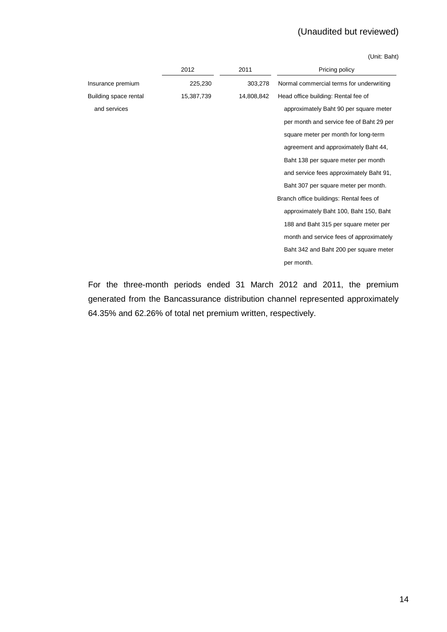# (Unaudited but reviewed)

(Unit: Baht)

|                       | 2012       | 2011       | Pricing policy                           |
|-----------------------|------------|------------|------------------------------------------|
| Insurance premium     | 225,230    | 303,278    | Normal commercial terms for underwriting |
| Building space rental | 15,387,739 | 14,808,842 | Head office building: Rental fee of      |
| and services          |            |            | approximately Baht 90 per square meter   |
|                       |            |            | per month and service fee of Baht 29 per |
|                       |            |            | square meter per month for long-term     |
|                       |            |            | agreement and approximately Baht 44,     |
|                       |            |            | Baht 138 per square meter per month      |
|                       |            |            | and service fees approximately Baht 91,  |
|                       |            |            | Baht 307 per square meter per month.     |
|                       |            |            | Branch office buildings: Rental fees of  |
|                       |            |            | approximately Baht 100, Baht 150, Baht   |
|                       |            |            | 188 and Baht 315 per square meter per    |
|                       |            |            | month and service fees of approximately  |
|                       |            |            | Baht 342 and Baht 200 per square meter   |
|                       |            |            | per month.                               |
|                       |            |            |                                          |

For the three-month periods ended 31 March 2012 and 2011, the premium generated from the Bancassurance distribution channel represented approximately 64.35% and 62.26% of total net premium written, respectively.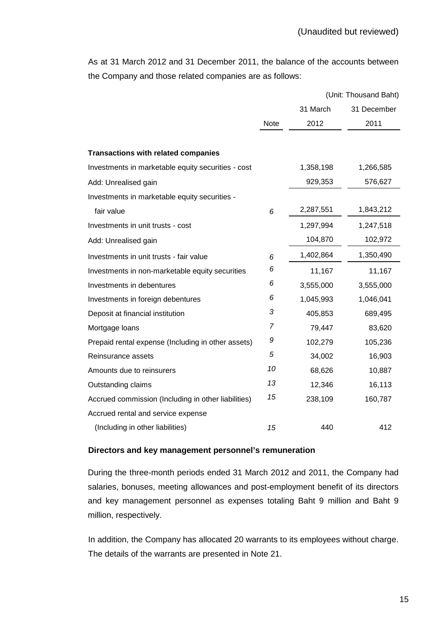As at 31 March 2012 and 31 December 2011, the balance of the accounts between the Company and those related companies are as follows:

|                                                     |                |           | (Unit: Thousand Baht) |
|-----------------------------------------------------|----------------|-----------|-----------------------|
|                                                     |                | 31 March  | 31 December           |
|                                                     | Note           | 2012      | 2011                  |
|                                                     |                |           |                       |
| <b>Transactions with related companies</b>          |                |           |                       |
| Investments in marketable equity securities - cost  |                | 1,358,198 | 1,266,585             |
| Add: Unrealised gain                                |                | 929,353   | 576,627               |
| Investments in marketable equity securities -       |                |           |                       |
| fair value                                          | 6              | 2,287,551 | 1,843,212             |
| Investments in unit trusts - cost                   |                | 1,297,994 | 1,247,518             |
| Add: Unrealised gain                                |                | 104,870   | 102,972               |
| Investments in unit trusts - fair value             | 6              | 1,402,864 | 1,350,490             |
| Investments in non-marketable equity securities     | 6              | 11,167    | 11,167                |
| Investments in debentures                           | 6              | 3,555,000 | 3,555,000             |
| Investments in foreign debentures                   | 6              | 1,045,993 | 1,046,041             |
| Deposit at financial institution                    | 3              | 405,853   | 689,495               |
| Mortgage loans                                      | $\overline{7}$ | 79,447    | 83,620                |
| Prepaid rental expense (Including in other assets)  | 9              | 102,279   | 105,236               |
| Reinsurance assets                                  | 5              | 34,002    | 16,903                |
| Amounts due to reinsurers                           | 10             | 68,626    | 10,887                |
| Outstanding claims                                  | 13             | 12,346    | 16,113                |
| Accrued commission (Including in other liabilities) | 15             | 238,109   | 160,787               |
| Accrued rental and service expense                  |                |           |                       |
| (Including in other liabilities)                    | 15             | 440       | 412                   |

#### **Directors and key management personnel's remuneration**

During the three-month periods ended 31 March 2012 and 2011, the Company had salaries, bonuses, meeting allowances and post-employment benefit of its directors and key management personnel as expenses totaling Baht 9 million and Baht 9 million, respectively.

 In addition, the Company has allocated 20 warrants to its employees without charge. The details of the warrants are presented in Note 21.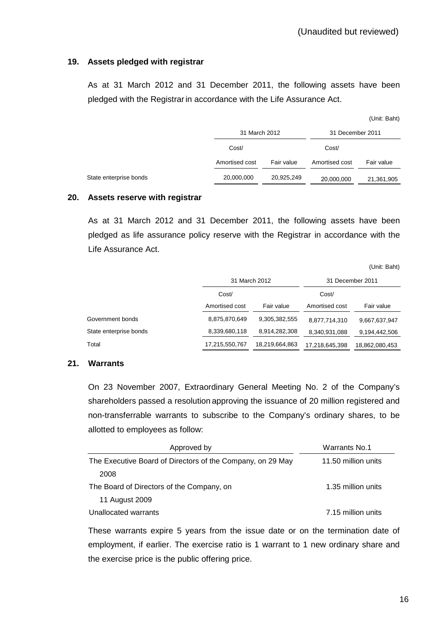### **19. Assets pledged with registrar**

 As at 31 March 2012 and 31 December 2011, the following assets have been pledged with the Registrar in accordance with the Life Assurance Act.

|                        |                |            |                  | (Unit: Baht) |
|------------------------|----------------|------------|------------------|--------------|
|                        | 31 March 2012  |            | 31 December 2011 |              |
|                        | Cost/          |            | Cost/            |              |
|                        | Amortised cost | Fair value | Amortised cost   | Fair value   |
| State enterprise bonds | 20,000,000     | 20,925,249 | 20,000,000       | 21,361,905   |

#### **20. Assets reserve with registrar**

 As at 31 March 2012 and 31 December 2011, the following assets have been pledged as life assurance policy reserve with the Registrar in accordance with the Life Assurance Act.

(Unit: Baht)

|                        |                | 31 March 2012  |                | 31 December 2011 |  |
|------------------------|----------------|----------------|----------------|------------------|--|
|                        | Cost/          |                |                |                  |  |
|                        | Amortised cost | Fair value     | Amortised cost | Fair value       |  |
| Government bonds       | 8,875,870,649  | 9,305,382,555  | 8,877,714,310  | 9,667,637,947    |  |
| State enterprise bonds | 8,339,680,118  | 8,914,282,308  | 8,340,931,088  | 9,194,442,506    |  |
| Total                  | 17,215,550,767 | 18,219,664,863 | 17,218,645,398 | 18,862,080,453   |  |

#### **21. Warrants**

On 23 November 2007, Extraordinary General Meeting No. 2 of the Company's shareholders passed a resolution approving the issuance of 20 million registered and non-transferrable warrants to subscribe to the Company's ordinary shares, to be allotted to employees as follow:

| Approved by                                                | Warrants No.1       |
|------------------------------------------------------------|---------------------|
| The Executive Board of Directors of the Company, on 29 May | 11.50 million units |
| 2008                                                       |                     |
| The Board of Directors of the Company, on                  | 1.35 million units  |
| 11 August 2009                                             |                     |
| Unallocated warrants                                       | 7.15 million units  |

 These warrants expire 5 years from the issue date or on the termination date of employment, if earlier. The exercise ratio is 1 warrant to 1 new ordinary share and the exercise price is the public offering price.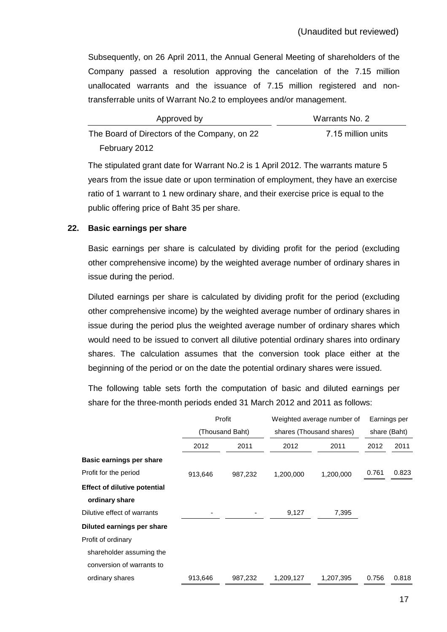Subsequently, on 26 April 2011, the Annual General Meeting of shareholders of the Company passed a resolution approving the cancelation of the 7.15 million unallocated warrants and the issuance of 7.15 million registered and nontransferrable units of Warrant No.2 to employees and/or management.

| Approved by                                  | Warrants No. 2     |
|----------------------------------------------|--------------------|
| The Board of Directors of the Company, on 22 | 7.15 million units |
| February 2012                                |                    |

The stipulated grant date for Warrant No.2 is 1 April 2012. The warrants mature 5 years from the issue date or upon termination of employment, they have an exercise ratio of 1 warrant to 1 new ordinary share, and their exercise price is equal to the public offering price of Baht 35 per share.

#### **22. Basic earnings per share**

 Basic earnings per share is calculated by dividing profit for the period (excluding other comprehensive income) by the weighted average number of ordinary shares in issue during the period.

 Diluted earnings per share is calculated by dividing profit for the period (excluding other comprehensive income) by the weighted average number of ordinary shares in issue during the period plus the weighted average number of ordinary shares which would need to be issued to convert all dilutive potential ordinary shares into ordinary shares. The calculation assumes that the conversion took place either at the beginning of the period or on the date the potential ordinary shares were issued.

The following table sets forth the computation of basic and diluted earnings per share for the three-month periods ended 31 March 2012 and 2011 as follows:

|                                     |         | Profit          |           | Weighted average number of |       | Earnings per |
|-------------------------------------|---------|-----------------|-----------|----------------------------|-------|--------------|
|                                     |         | (Thousand Baht) |           | shares (Thousand shares)   |       | share (Baht) |
|                                     | 2012    | 2011            | 2012      | 2011                       | 2012  | 2011         |
| Basic earnings per share            |         |                 |           |                            |       |              |
| Profit for the period               | 913,646 | 987,232         | 1,200,000 | 1,200,000                  | 0.761 | 0.823        |
| <b>Effect of dilutive potential</b> |         |                 |           |                            |       |              |
| ordinary share                      |         |                 |           |                            |       |              |
| Dilutive effect of warrants         |         |                 | 9,127     | 7,395                      |       |              |
| Diluted earnings per share          |         |                 |           |                            |       |              |
| Profit of ordinary                  |         |                 |           |                            |       |              |
| shareholder assuming the            |         |                 |           |                            |       |              |
| conversion of warrants to           |         |                 |           |                            |       |              |
| ordinary shares                     | 913,646 | 987,232         | 1,209,127 | 1,207,395                  | 0.756 | 0.818        |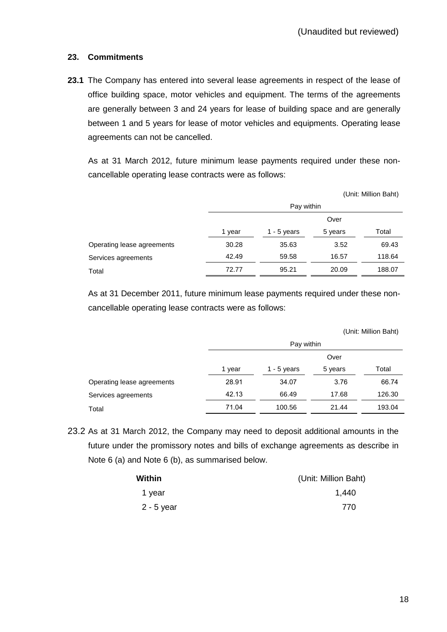### **23. Commitments**

**23.1** The Company has entered into several lease agreements in respect of the lease of office building space, motor vehicles and equipment. The terms of the agreements are generally between 3 and 24 years for lease of building space and are generally between 1 and 5 years for lease of motor vehicles and equipments. Operating lease agreements can not be cancelled.

 As at 31 March 2012, future minimum lease payments required under these noncancellable operating lease contracts were as follows:

|                            |            |               |         | (Unit: Million Baht) |
|----------------------------|------------|---------------|---------|----------------------|
|                            | Pay within |               |         |                      |
|                            |            |               | Over    |                      |
|                            | 1 year     | $1 - 5$ years | 5 years | Total                |
| Operating lease agreements | 30.28      | 35.63         | 3.52    | 69.43                |
| Services agreements        | 42.49      | 59.58         | 16.57   | 118.64               |
| Total                      | 72.77      | 95.21         | 20.09   | 188.07               |

As at 31 December 2011, future minimum lease payments required under these noncancellable operating lease contracts were as follows:

|                            |            |               |         | (Unit: Million Baht) |
|----------------------------|------------|---------------|---------|----------------------|
|                            | Pay within |               |         |                      |
|                            |            |               | Over    |                      |
|                            | 1 year     | 1 - $5$ years | 5 years | Total                |
| Operating lease agreements | 28.91      | 34.07         | 3.76    | 66.74                |
| Services agreements        | 42.13      | 66.49         | 17.68   | 126.30               |
| Total                      | 71.04      | 100.56        | 21.44   | 193.04               |

23.2 As at 31 March 2012, the Company may need to deposit additional amounts in the future under the promissory notes and bills of exchange agreements as describe in Note 6 (a) and Note 6 (b), as summarised below.

| Within       | (Unit: Million Baht) |
|--------------|----------------------|
| 1 year       | 1,440                |
| $2 - 5$ year | 770                  |